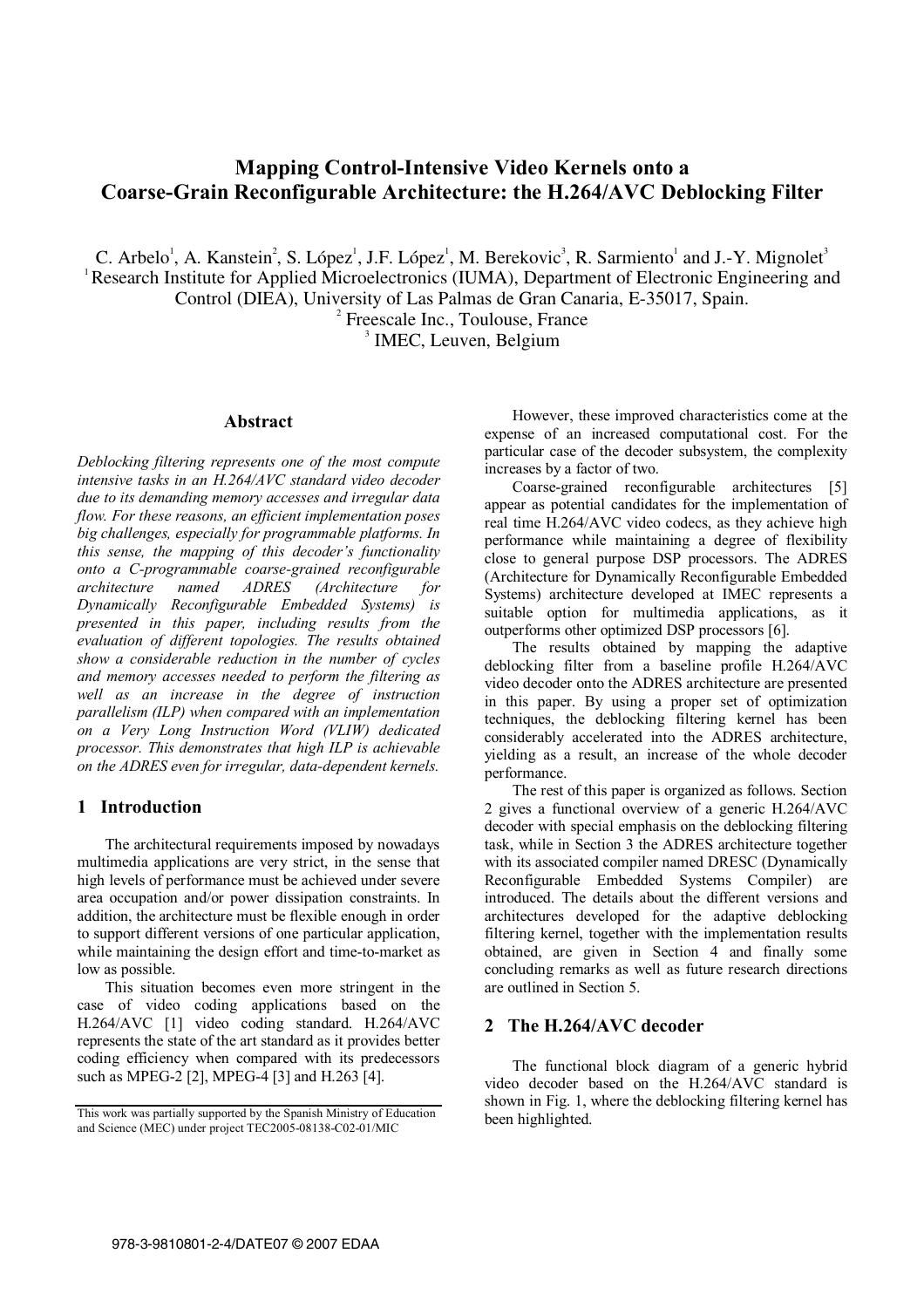# **Mapping Control-Intensive Video Kernels onto a Coarse-Grain Reconfigurable Architecture: the H.264/AVC Deblocking Filter**

C. Arbelo<sup>1</sup>, A. Kanstein<sup>2</sup>, S. López<sup>1</sup>, J.F. López<sup>1</sup>, M. Berekovic<sup>3</sup>, R. Sarmiento<sup>1</sup> and J.-Y. Mignolet<sup>3</sup> <sup>1</sup> Research Institute for Applied Microelectronics (IUMA), Department of Electronic Engineering and Control (DIEA), University of Las Palmas de Gran Canaria, E-35017, Spain. 2

 $2$  Freescale Inc., Toulouse, France

 $<sup>3</sup>$  IMEC, Leuven, Belgium</sup>

### **Abstract**

*Deblocking filtering represents one of the most compute intensive tasks in an H.264/AVC standard video decoder due to its demanding memory accesses and irregular data flow. For these reasons, an efficient implementation poses big challenges, especially for programmable platforms. In this sense, the mapping of this decoder's functionality onto a C-programmable coarse-grained reconfigurable architecture named ADRES (Architecture for Dynamically Reconfigurable Embedded Systems) is presented in this paper, including results from the evaluation of different topologies. The results obtained show a considerable reduction in the number of cycles and memory accesses needed to perform the filtering as well as an increase in the degree of instruction parallelism (ILP) when compared with an implementation on a Very Long Instruction Word (VLIW) dedicated processor. This demonstrates that high ILP is achievable on the ADRES even for irregular, data-dependent kernels.* 

### **1 Introduction**

The architectural requirements imposed by nowadays multimedia applications are very strict, in the sense that high levels of performance must be achieved under severe area occupation and/or power dissipation constraints. In addition, the architecture must be flexible enough in order to support different versions of one particular application, while maintaining the design effort and time-to-market as low as possible.

This situation becomes even more stringent in the case of video coding applications based on the H.264/AVC [1] video coding standard. H.264/AVC represents the state of the art standard as it provides better coding efficiency when compared with its predecessors such as MPEG-2 [2], MPEG-4 [3] and H.263 [4].

However, these improved characteristics come at the expense of an increased computational cost. For the particular case of the decoder subsystem, the complexity increases by a factor of two.

Coarse-grained reconfigurable architectures [5] appear as potential candidates for the implementation of real time H.264/AVC video codecs, as they achieve high performance while maintaining a degree of flexibility close to general purpose DSP processors. The ADRES (Architecture for Dynamically Reconfigurable Embedded Systems) architecture developed at IMEC represents a suitable option for multimedia applications, as it outperforms other optimized DSP processors [6].

The results obtained by mapping the adaptive deblocking filter from a baseline profile H.264/AVC video decoder onto the ADRES architecture are presented in this paper. By using a proper set of optimization techniques, the deblocking filtering kernel has been considerably accelerated into the ADRES architecture, yielding as a result, an increase of the whole decoder performance.

The rest of this paper is organized as follows. Section 2 gives a functional overview of a generic H.264/AVC decoder with special emphasis on the deblocking filtering task, while in Section 3 the ADRES architecture together with its associated compiler named DRESC (Dynamically Reconfigurable Embedded Systems Compiler) are introduced. The details about the different versions and architectures developed for the adaptive deblocking filtering kernel, together with the implementation results obtained, are given in Section 4 and finally some concluding remarks as well as future research directions are outlined in Section 5.

## **2 The H.264/AVC decoder**

The functional block diagram of a generic hybrid video decoder based on the H.264/AVC standard is shown in Fig. 1, where the deblocking filtering kernel has been highlighted.

This work was partially supported by the Spanish Ministry of Education and Science (MEC) under project TEC2005-08138-C02-01/MIC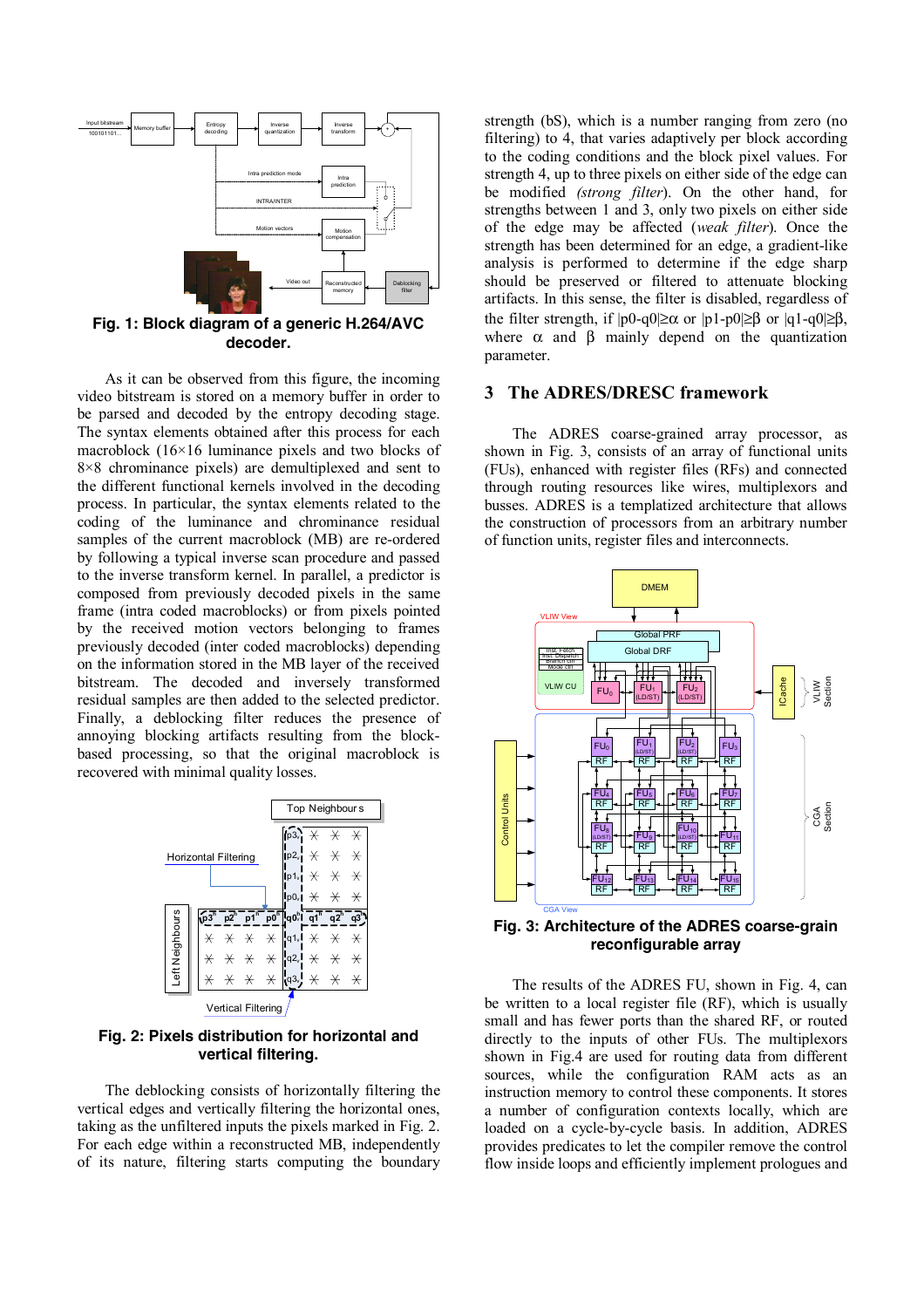

**Fig. 1: Block diagram of a generic H.264/AVC decoder.**

As it can be observed from this figure, the incoming video bitstream is stored on a memory buffer in order to be parsed and decoded by the entropy decoding stage. The syntax elements obtained after this process for each macroblock (16×16 luminance pixels and two blocks of 8×8 chrominance pixels) are demultiplexed and sent to the different functional kernels involved in the decoding process. In particular, the syntax elements related to the coding of the luminance and chrominance residual samples of the current macroblock (MB) are re-ordered by following a typical inverse scan procedure and passed to the inverse transform kernel. In parallel, a predictor is composed from previously decoded pixels in the same frame (intra coded macroblocks) or from pixels pointed by the received motion vectors belonging to frames previously decoded (inter coded macroblocks) depending on the information stored in the MB layer of the received bitstream. The decoded and inversely transformed residual samples are then added to the selected predictor. Finally, a deblocking filter reduces the presence of annoying blocking artifacts resulting from the blockbased processing, so that the original macroblock is recovered with minimal quality losses.



**Fig. 2: Pixels distribution for horizontal and vertical filtering.**

The deblocking consists of horizontally filtering the vertical edges and vertically filtering the horizontal ones, taking as the unfiltered inputs the pixels marked in Fig. 2. For each edge within a reconstructed MB, independently of its nature, filtering starts computing the boundary strength (bS), which is a number ranging from zero (no filtering) to 4, that varies adaptively per block according to the coding conditions and the block pixel values. For strength 4, up to three pixels on either side of the edge can be modified *(strong filter*). On the other hand, for strengths between 1 and 3, only two pixels on either side of the edge may be affected (*weak filter*). Once the strength has been determined for an edge, a gradient-like analysis is performed to determine if the edge sharp should be preserved or filtered to attenuate blocking artifacts. In this sense, the filter is disabled, regardless of the filter strength, if  $|p0-q0| \ge \alpha$  or  $|p1-p0| \ge \beta$  or  $|q1-q0| \ge \beta$ , where  $\alpha$  and  $\beta$  mainly depend on the quantization parameter.

#### **3 The ADRES/DRESC framework**

The ADRES coarse-grained array processor, as shown in Fig. 3, consists of an array of functional units (FUs), enhanced with register files (RFs) and connected through routing resources like wires, multiplexors and busses. ADRES is a templatized architecture that allows the construction of processors from an arbitrary number of function units, register files and interconnects.



**Fig. 3: Architecture of the ADRES coarse-grain reconfigurable array** 

The results of the ADRES FU, shown in Fig. 4, can be written to a local register file (RF), which is usually small and has fewer ports than the shared RF, or routed directly to the inputs of other FUs. The multiplexors shown in Fig.4 are used for routing data from different sources, while the configuration RAM acts as an instruction memory to control these components. It stores a number of configuration contexts locally, which are loaded on a cycle-by-cycle basis. In addition, ADRES provides predicates to let the compiler remove the control flow inside loops and efficiently implement prologues and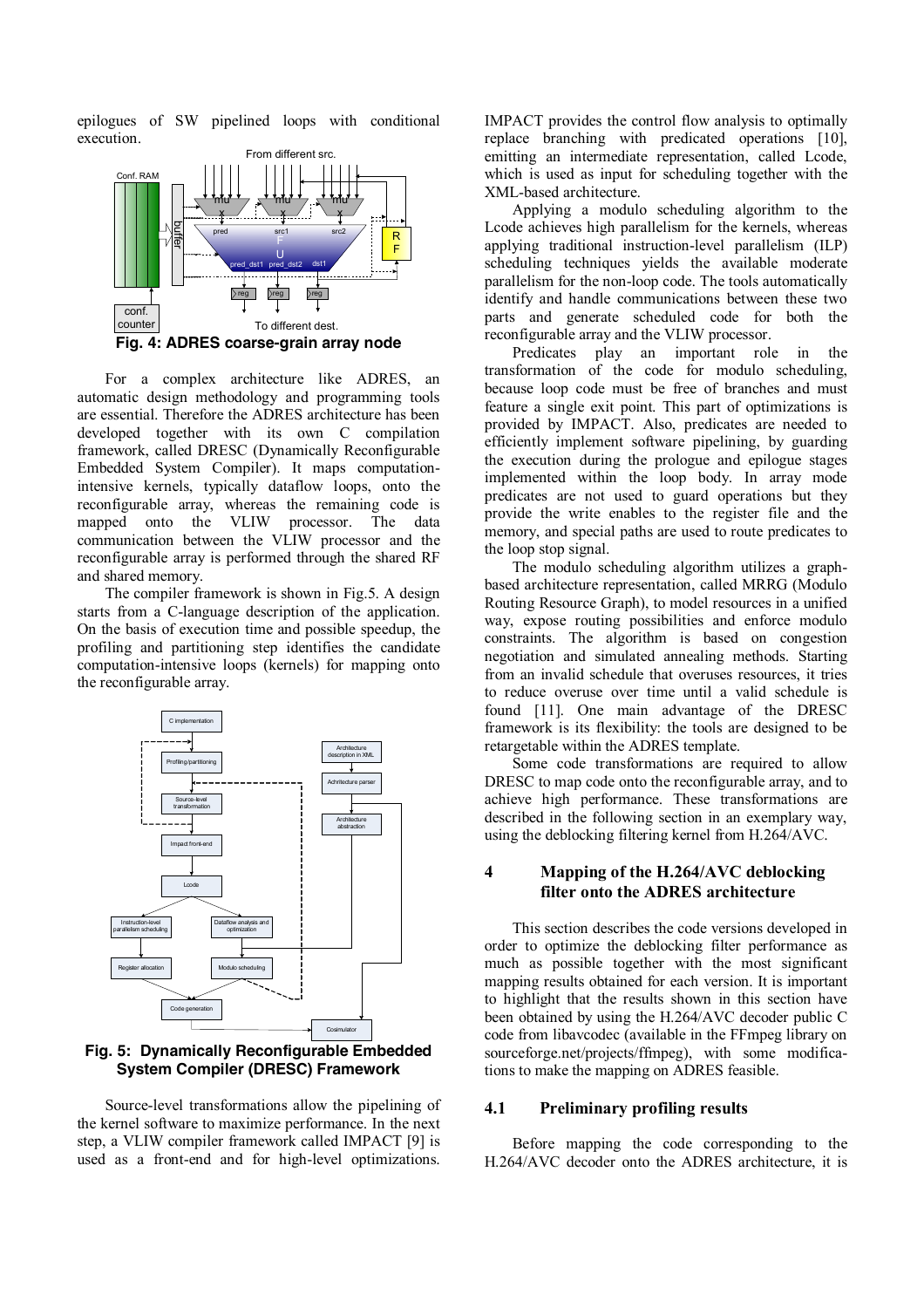epilogues of SW pipelined loops with conditional execution.



For a complex architecture like ADRES, an automatic design methodology and programming tools are essential. Therefore the ADRES architecture has been developed together with its own C compilation framework, called DRESC (Dynamically Reconfigurable Embedded System Compiler). It maps computationintensive kernels, typically dataflow loops, onto the reconfigurable array, whereas the remaining code is mapped onto the VLIW processor. The data communication between the VLIW processor and the reconfigurable array is performed through the shared RF and shared memory.

The compiler framework is shown in Fig.5. A design starts from a C-language description of the application. On the basis of execution time and possible speedup, the profiling and partitioning step identifies the candidate computation-intensive loops (kernels) for mapping onto the reconfigurable array.



**Fig. 5: Dynamically Reconfigurable Embedded System Compiler (DRESC) Framework** 

Source-level transformations allow the pipelining of the kernel software to maximize performance. In the next step, a VLIW compiler framework called IMPACT [9] is used as a front-end and for high-level optimizations.

IMPACT provides the control flow analysis to optimally replace branching with predicated operations [10], emitting an intermediate representation, called Lcode, which is used as input for scheduling together with the XML-based architecture.

Applying a modulo scheduling algorithm to the Lcode achieves high parallelism for the kernels, whereas applying traditional instruction-level parallelism (ILP) scheduling techniques yields the available moderate parallelism for the non-loop code. The tools automatically identify and handle communications between these two parts and generate scheduled code for both the reconfigurable array and the VLIW processor.

Predicates play an important role in the transformation of the code for modulo scheduling, because loop code must be free of branches and must feature a single exit point. This part of optimizations is provided by IMPACT. Also, predicates are needed to efficiently implement software pipelining, by guarding the execution during the prologue and epilogue stages implemented within the loop body. In array mode predicates are not used to guard operations but they provide the write enables to the register file and the memory, and special paths are used to route predicates to the loop stop signal.

The modulo scheduling algorithm utilizes a graphbased architecture representation, called MRRG (Modulo Routing Resource Graph), to model resources in a unified way, expose routing possibilities and enforce modulo constraints. The algorithm is based on congestion negotiation and simulated annealing methods. Starting from an invalid schedule that overuses resources, it tries to reduce overuse over time until a valid schedule is found [11]. One main advantage of the DRESC framework is its flexibility: the tools are designed to be retargetable within the ADRES template.

Some code transformations are required to allow DRESC to map code onto the reconfigurable array, and to achieve high performance. These transformations are described in the following section in an exemplary way, using the deblocking filtering kernel from H.264/AVC.

### **4 Mapping of the H.264/AVC deblocking filter onto the ADRES architecture**

This section describes the code versions developed in order to optimize the deblocking filter performance as much as possible together with the most significant mapping results obtained for each version. It is important to highlight that the results shown in this section have been obtained by using the H.264/AVC decoder public C code from libavcodec (available in the FFmpeg library on sourceforge.net/projects/ffmpeg), with some modifications to make the mapping on ADRES feasible.

#### **4.1 Preliminary profiling results**

Before mapping the code corresponding to the H.264/AVC decoder onto the ADRES architecture, it is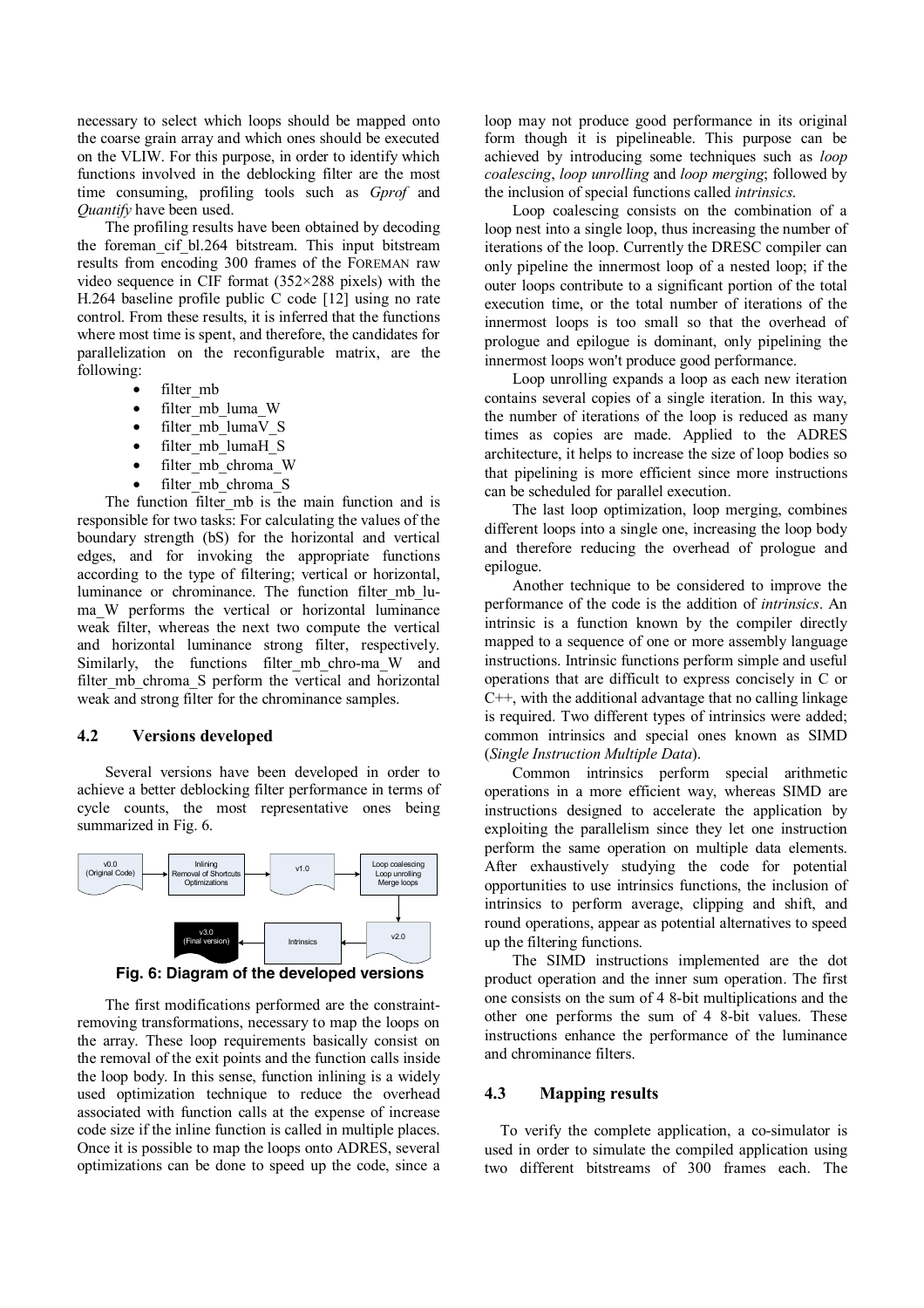necessary to select which loops should be mapped onto the coarse grain array and which ones should be executed on the VLIW. For this purpose, in order to identify which functions involved in the deblocking filter are the most time consuming, profiling tools such as *Gprof* and *Quantify* have been used.

The profiling results have been obtained by decoding the foreman\_cif\_bl.264 bitstream. This input bitstream results from encoding 300 frames of the FOREMAN raw video sequence in CIF format (352×288 pixels) with the H.264 baseline profile public C code [12] using no rate control. From these results, it is inferred that the functions where most time is spent, and therefore, the candidates for parallelization on the reconfigurable matrix, are the following:

- filter mb
- filter mb luma W
- filter\_mb\_lumaV\_S
- filter mb lumaH S
- filter mb chroma W
- filter mb chroma S

The function filter mb is the main function and is responsible for two tasks: For calculating the values of the boundary strength (bS) for the horizontal and vertical edges, and for invoking the appropriate functions according to the type of filtering; vertical or horizontal, luminance or chrominance. The function filter\_mb\_luma\_W performs the vertical or horizontal luminance weak filter, whereas the next two compute the vertical and horizontal luminance strong filter, respectively. Similarly, the functions filter\_mb\_chro-ma\_W and filter mb chroma S perform the vertical and horizontal weak and strong filter for the chrominance samples.

#### **4.2 Versions developed**

Several versions have been developed in order to achieve a better deblocking filter performance in terms of cycle counts, the most representative ones being summarized in Fig. 6.





The first modifications performed are the constraintremoving transformations, necessary to map the loops on the array. These loop requirements basically consist on the removal of the exit points and the function calls inside the loop body. In this sense, function inlining is a widely used optimization technique to reduce the overhead associated with function calls at the expense of increase code size if the inline function is called in multiple places. Once it is possible to map the loops onto ADRES, several optimizations can be done to speed up the code, since a

loop may not produce good performance in its original form though it is pipelineable. This purpose can be achieved by introducing some techniques such as *loop coalescing*, *loop unrolling* and *loop merging*; followed by the inclusion of special functions called *intrinsics*.

Loop coalescing consists on the combination of a loop nest into a single loop, thus increasing the number of iterations of the loop. Currently the DRESC compiler can only pipeline the innermost loop of a nested loop; if the outer loops contribute to a significant portion of the total execution time, or the total number of iterations of the innermost loops is too small so that the overhead of prologue and epilogue is dominant, only pipelining the innermost loops won't produce good performance.

Loop unrolling expands a loop as each new iteration contains several copies of a single iteration. In this way, the number of iterations of the loop is reduced as many times as copies are made. Applied to the ADRES architecture, it helps to increase the size of loop bodies so that pipelining is more efficient since more instructions can be scheduled for parallel execution.

The last loop optimization, loop merging, combines different loops into a single one, increasing the loop body and therefore reducing the overhead of prologue and epilogue.

Another technique to be considered to improve the performance of the code is the addition of *intrinsics*. An intrinsic is a function known by the compiler directly mapped to a sequence of one or more assembly language instructions. Intrinsic functions perform simple and useful operations that are difficult to express concisely in C or C++, with the additional advantage that no calling linkage is required. Two different types of intrinsics were added; common intrinsics and special ones known as SIMD (*Single Instruction Multiple Data*).

Common intrinsics perform special arithmetic operations in a more efficient way, whereas SIMD are instructions designed to accelerate the application by exploiting the parallelism since they let one instruction perform the same operation on multiple data elements. After exhaustively studying the code for potential opportunities to use intrinsics functions, the inclusion of intrinsics to perform average, clipping and shift, and round operations, appear as potential alternatives to speed up the filtering functions.

The SIMD instructions implemented are the dot product operation and the inner sum operation. The first one consists on the sum of 4 8-bit multiplications and the other one performs the sum of 4 8-bit values. These instructions enhance the performance of the luminance and chrominance filters.

### **4.3 Mapping results**

To verify the complete application, a co-simulator is used in order to simulate the compiled application using two different bitstreams of 300 frames each. The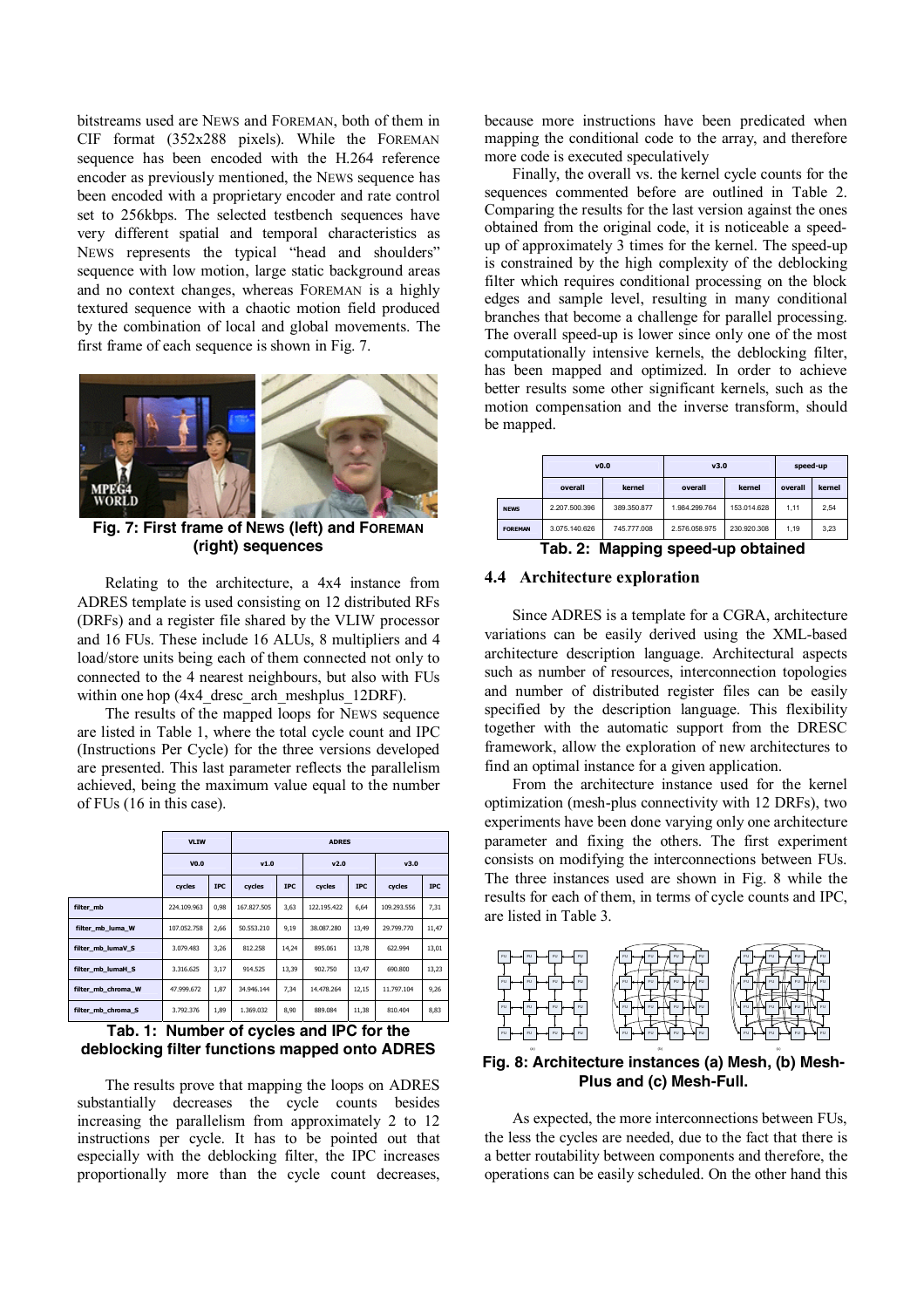bitstreams used are NEWS and FOREMAN, both of them in CIF format (352x288 pixels). While the FOREMAN sequence has been encoded with the H.264 reference encoder as previously mentioned, the NEWS sequence has been encoded with a proprietary encoder and rate control set to 256kbps. The selected testbench sequences have very different spatial and temporal characteristics as NEWS represents the typical "head and shoulders" sequence with low motion, large static background areas and no context changes, whereas FOREMAN is a highly textured sequence with a chaotic motion field produced by the combination of local and global movements. The first frame of each sequence is shown in Fig. 7.



**Fig. 7: First frame of NEWS (left) and FOREMAN (right) sequences**

Relating to the architecture, a 4x4 instance from ADRES template is used consisting on 12 distributed RFs (DRFs) and a register file shared by the VLIW processor and 16 FUs. These include 16 ALUs, 8 multipliers and 4 load/store units being each of them connected not only to connected to the 4 nearest neighbours, but also with FUs within one hop (4x4 dresc arch meshplus 12DRF).

The results of the mapped loops for NEWS sequence are listed in Table 1, where the total cycle count and IPC (Instructions Per Cycle) for the three versions developed are presented. This last parameter reflects the parallelism achieved, being the maximum value equal to the number of FUs (16 in this case).

|                    | <b>VLIW</b> |            | <b>ADRES</b> |            |             |            |             |            |  |
|--------------------|-------------|------------|--------------|------------|-------------|------------|-------------|------------|--|
|                    | V0.0        |            | V1.0         |            | v2.0        |            | v3.0        |            |  |
|                    | cycles      | <b>IPC</b> | cycles       | <b>IPC</b> | cycles      | <b>IPC</b> | cycles      | <b>IPC</b> |  |
| filter_mb          | 224.109.963 | 0,98       | 167,827,505  | 3,63       | 122.195.422 | 6,64       | 109.293.556 | 7,31       |  |
| filter_mb_luma_W   | 107.052.758 | 2,66       | 50.553.210   | 9,19       | 38.087.280  | 13.49      | 29,799,770  | 11,47      |  |
| filter mb lumaV S  | 3.079.483   | 3,26       | 812,258      | 14,24      | 895.061     | 13,78      | 622.994     | 13,01      |  |
| filter mb lumaH S  | 3.316.625   | 3,17       | 914.525      | 13,39      | 902.750     | 13.47      | 690,800     | 13,23      |  |
| filter_mb_chroma_W | 47.999.672  | 1,87       | 34.946.144   | 7,34       | 14.478.264  | 12,15      | 11.797.104  | 9,26       |  |
| filter mb chroma S | 3.792.376   | 1,89       | 1.369.032    | 8,90       | 889.084     | 11,38      | 810.404     | 8,83       |  |

**Tab. 1: Number of cycles and IPC for the deblocking filter functions mapped onto ADRES** 

The results prove that mapping the loops on ADRES substantially decreases the cycle counts besides increasing the parallelism from approximately 2 to 12 instructions per cycle. It has to be pointed out that especially with the deblocking filter, the IPC increases proportionally more than the cycle count decreases, because more instructions have been predicated when mapping the conditional code to the array, and therefore more code is executed speculatively

Finally, the overall vs. the kernel cycle counts for the sequences commented before are outlined in Table 2. Comparing the results for the last version against the ones obtained from the original code, it is noticeable a speedup of approximately 3 times for the kernel. The speed-up is constrained by the high complexity of the deblocking filter which requires conditional processing on the block edges and sample level, resulting in many conditional branches that become a challenge for parallel processing. The overall speed-up is lower since only one of the most computationally intensive kernels, the deblocking filter, has been mapped and optimized. In order to achieve better results some other significant kernels, such as the motion compensation and the inverse transform, should be mapped.

|                | v0.0          |             | v3.0          | speed-up    |         |        |
|----------------|---------------|-------------|---------------|-------------|---------|--------|
|                | overall       | kernel      | overall       | kernel      | overall | kernel |
| <b>NEWS</b>    | 2.207.500.396 | 389.350.877 | 1.984.299.764 | 153.014.628 | 1.11    | 2,54   |
| <b>FOREMAN</b> | 3.075.140.626 | 745.777.008 | 2.576.058.975 | 230.920.308 | 1.19    | 3.23   |

### **Tab. 2: Mapping speed-up obtained**

#### **4.4 Architecture exploration**

Since ADRES is a template for a CGRA, architecture variations can be easily derived using the XML-based architecture description language. Architectural aspects such as number of resources, interconnection topologies and number of distributed register files can be easily specified by the description language. This flexibility together with the automatic support from the DRESC framework, allow the exploration of new architectures to find an optimal instance for a given application.

From the architecture instance used for the kernel optimization (mesh-plus connectivity with 12 DRFs), two experiments have been done varying only one architecture parameter and fixing the others. The first experiment consists on modifying the interconnections between FUs. The three instances used are shown in Fig. 8 while the results for each of them, in terms of cycle counts and IPC, are listed in Table 3.



**Fig. 8: Architecture instances (a) Mesh, (b) Mesh-Plus and (c) Mesh-Full.** 

As expected, the more interconnections between FUs, the less the cycles are needed, due to the fact that there is a better routability between components and therefore, the operations can be easily scheduled. On the other hand this